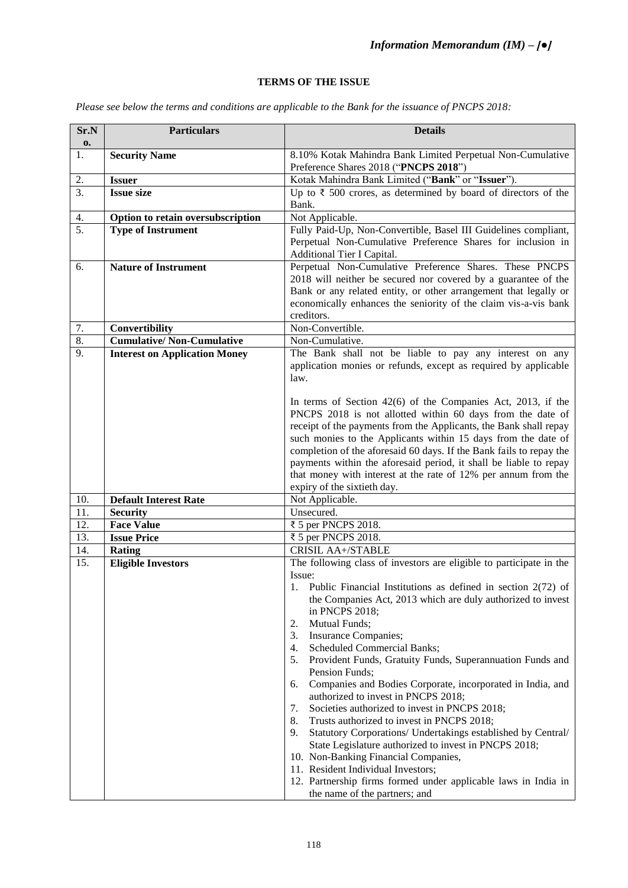## **TERMS OF THE ISSUE**

*Please see below the terms and conditions are applicable to the Bank for the issuance of PNCPS 2018:* 

| Sr.N             | <b>Particulars</b>                   | <b>Details</b>                                                                                                                     |
|------------------|--------------------------------------|------------------------------------------------------------------------------------------------------------------------------------|
| 0.<br>1.         | <b>Security Name</b>                 | 8.10% Kotak Mahindra Bank Limited Perpetual Non-Cumulative                                                                         |
|                  |                                      | Preference Shares 2018 ("PNCPS 2018")                                                                                              |
| 2.               | <b>Issuer</b>                        | Kotak Mahindra Bank Limited ("Bank" or "Issuer").                                                                                  |
| $\overline{3}$ . | <b>Issue size</b>                    | Up to $\bar{\tau}$ 500 crores, as determined by board of directors of the                                                          |
|                  |                                      | Bank.                                                                                                                              |
| 4.               | Option to retain oversubscription    | Not Applicable.                                                                                                                    |
| 5.               | <b>Type of Instrument</b>            | Fully Paid-Up, Non-Convertible, Basel III Guidelines compliant,                                                                    |
|                  |                                      | Perpetual Non-Cumulative Preference Shares for inclusion in                                                                        |
|                  |                                      | Additional Tier I Capital.                                                                                                         |
| 6.               | <b>Nature of Instrument</b>          | Perpetual Non-Cumulative Preference Shares. These PNCPS                                                                            |
|                  |                                      | 2018 will neither be secured nor covered by a guarantee of the<br>Bank or any related entity, or other arrangement that legally or |
|                  |                                      | economically enhances the seniority of the claim vis-a-vis bank                                                                    |
|                  |                                      | creditors.                                                                                                                         |
| 7.               | Convertibility                       | Non-Convertible.                                                                                                                   |
| 8.               | <b>Cumulative/Non-Cumulative</b>     | Non-Cumulative.                                                                                                                    |
| 9.               | <b>Interest on Application Money</b> | The Bank shall not be liable to pay any interest on any                                                                            |
|                  |                                      | application monies or refunds, except as required by applicable                                                                    |
|                  |                                      | law.                                                                                                                               |
|                  |                                      |                                                                                                                                    |
|                  |                                      | In terms of Section $42(6)$ of the Companies Act, 2013, if the<br>PNCPS 2018 is not allotted within 60 days from the date of       |
|                  |                                      | receipt of the payments from the Applicants, the Bank shall repay                                                                  |
|                  |                                      | such monies to the Applicants within 15 days from the date of                                                                      |
|                  |                                      | completion of the aforesaid 60 days. If the Bank fails to repay the                                                                |
|                  |                                      | payments within the aforesaid period, it shall be liable to repay                                                                  |
|                  |                                      | that money with interest at the rate of 12% per annum from the                                                                     |
|                  |                                      | expiry of the sixtieth day.                                                                                                        |
| 10.              | <b>Default Interest Rate</b>         | Not Applicable.                                                                                                                    |
| 11.<br>12.       | <b>Security</b><br><b>Face Value</b> | Unsecured.<br>₹ 5 per PNCPS 2018.                                                                                                  |
| 13.              | <b>Issue Price</b>                   | ₹ 5 per PNCPS 2018.                                                                                                                |
| 14.              | Rating                               | <b>CRISIL AA+/STABLE</b>                                                                                                           |
| 15.              | <b>Eligible Investors</b>            | The following class of investors are eligible to participate in the                                                                |
|                  |                                      | Issue:                                                                                                                             |
|                  |                                      | Public Financial Institutions as defined in section $2(72)$ of<br>1.                                                               |
|                  |                                      | the Companies Act, 2013 which are duly authorized to invest                                                                        |
|                  |                                      | in PNCPS 2018;                                                                                                                     |
|                  |                                      | Mutual Funds;<br>2.                                                                                                                |
|                  |                                      | Insurance Companies;<br>3.<br><b>Scheduled Commercial Banks;</b>                                                                   |
|                  |                                      | 4.<br>Provident Funds, Gratuity Funds, Superannuation Funds and<br>5.                                                              |
|                  |                                      | Pension Funds;                                                                                                                     |
|                  |                                      | Companies and Bodies Corporate, incorporated in India, and<br>6.                                                                   |
|                  |                                      | authorized to invest in PNCPS 2018;                                                                                                |
|                  |                                      | Societies authorized to invest in PNCPS 2018;<br>7.                                                                                |
|                  |                                      | Trusts authorized to invest in PNCPS 2018;<br>8.                                                                                   |
|                  |                                      | 9.<br>Statutory Corporations/ Undertakings established by Central/                                                                 |
|                  |                                      | State Legislature authorized to invest in PNCPS 2018;                                                                              |
|                  |                                      | 10. Non-Banking Financial Companies,<br>11. Resident Individual Investors;                                                         |
|                  |                                      | 12. Partnership firms formed under applicable laws in India in                                                                     |
|                  |                                      | the name of the partners; and                                                                                                      |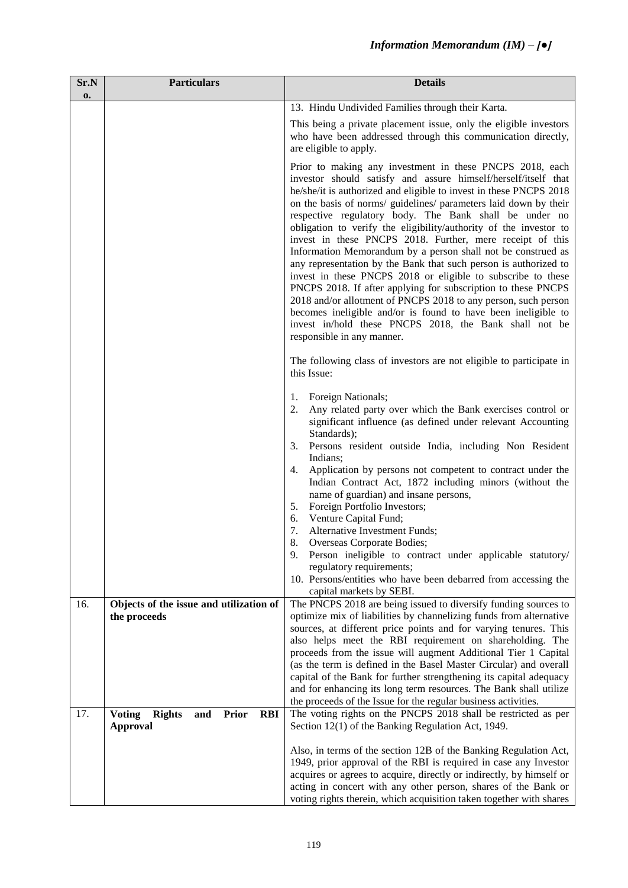| Sr.N<br>0. | <b>Particulars</b>                                                                     | <b>Details</b>                                                                                                                                                                                                                                                                                                                                                                                                                                                                                                                                                                                                                                                                                                                                                                                                                                                                                                                                                   |
|------------|----------------------------------------------------------------------------------------|------------------------------------------------------------------------------------------------------------------------------------------------------------------------------------------------------------------------------------------------------------------------------------------------------------------------------------------------------------------------------------------------------------------------------------------------------------------------------------------------------------------------------------------------------------------------------------------------------------------------------------------------------------------------------------------------------------------------------------------------------------------------------------------------------------------------------------------------------------------------------------------------------------------------------------------------------------------|
|            |                                                                                        | 13. Hindu Undivided Families through their Karta.                                                                                                                                                                                                                                                                                                                                                                                                                                                                                                                                                                                                                                                                                                                                                                                                                                                                                                                |
|            |                                                                                        | This being a private placement issue, only the eligible investors<br>who have been addressed through this communication directly,<br>are eligible to apply.                                                                                                                                                                                                                                                                                                                                                                                                                                                                                                                                                                                                                                                                                                                                                                                                      |
|            |                                                                                        | Prior to making any investment in these PNCPS 2018, each<br>investor should satisfy and assure himself/herself/itself that<br>he/she/it is authorized and eligible to invest in these PNCPS 2018<br>on the basis of norms/ guidelines/ parameters laid down by their<br>respective regulatory body. The Bank shall be under no<br>obligation to verify the eligibility/authority of the investor to<br>invest in these PNCPS 2018. Further, mere receipt of this<br>Information Memorandum by a person shall not be construed as<br>any representation by the Bank that such person is authorized to<br>invest in these PNCPS 2018 or eligible to subscribe to these<br>PNCPS 2018. If after applying for subscription to these PNCPS<br>2018 and/or allotment of PNCPS 2018 to any person, such person<br>becomes ineligible and/or is found to have been ineligible to<br>invest in/hold these PNCPS 2018, the Bank shall not be<br>responsible in any manner. |
|            |                                                                                        | The following class of investors are not eligible to participate in<br>this Issue:                                                                                                                                                                                                                                                                                                                                                                                                                                                                                                                                                                                                                                                                                                                                                                                                                                                                               |
|            |                                                                                        | Foreign Nationals;<br>1.<br>Any related party over which the Bank exercises control or<br>2.<br>significant influence (as defined under relevant Accounting<br>Standards);<br>3.<br>Persons resident outside India, including Non Resident<br>Indians;                                                                                                                                                                                                                                                                                                                                                                                                                                                                                                                                                                                                                                                                                                           |
|            |                                                                                        | Application by persons not competent to contract under the<br>4.<br>Indian Contract Act, 1872 including minors (without the<br>name of guardian) and insane persons,<br>Foreign Portfolio Investors;<br>5.<br>Venture Capital Fund;<br>6.<br>Alternative Investment Funds;<br>7.                                                                                                                                                                                                                                                                                                                                                                                                                                                                                                                                                                                                                                                                                 |
|            |                                                                                        | 8.<br>Overseas Corporate Bodies;<br>Person ineligible to contract under applicable statutory/<br>9.<br>regulatory requirements;<br>10. Persons/entities who have been debarred from accessing the<br>capital markets by SEBI.                                                                                                                                                                                                                                                                                                                                                                                                                                                                                                                                                                                                                                                                                                                                    |
| 16.        | Objects of the issue and utilization of<br>the proceeds                                | The PNCPS 2018 are being issued to diversify funding sources to<br>optimize mix of liabilities by channelizing funds from alternative<br>sources, at different price points and for varying tenures. This<br>also helps meet the RBI requirement on shareholding. The<br>proceeds from the issue will augment Additional Tier 1 Capital<br>(as the term is defined in the Basel Master Circular) and overall<br>capital of the Bank for further strengthening its capital adequacy<br>and for enhancing its long term resources. The Bank shall utilize<br>the proceeds of the Issue for the regular business activities.                                                                                                                                                                                                                                                                                                                                        |
| 17.        | <b>Voting</b><br><b>Prior</b><br><b>Rights</b><br><b>RBI</b><br>and<br><b>Approval</b> | The voting rights on the PNCPS 2018 shall be restricted as per<br>Section 12(1) of the Banking Regulation Act, 1949.<br>Also, in terms of the section 12B of the Banking Regulation Act,<br>1949, prior approval of the RBI is required in case any Investor<br>acquires or agrees to acquire, directly or indirectly, by himself or                                                                                                                                                                                                                                                                                                                                                                                                                                                                                                                                                                                                                             |
|            |                                                                                        | acting in concert with any other person, shares of the Bank or<br>voting rights therein, which acquisition taken together with shares                                                                                                                                                                                                                                                                                                                                                                                                                                                                                                                                                                                                                                                                                                                                                                                                                            |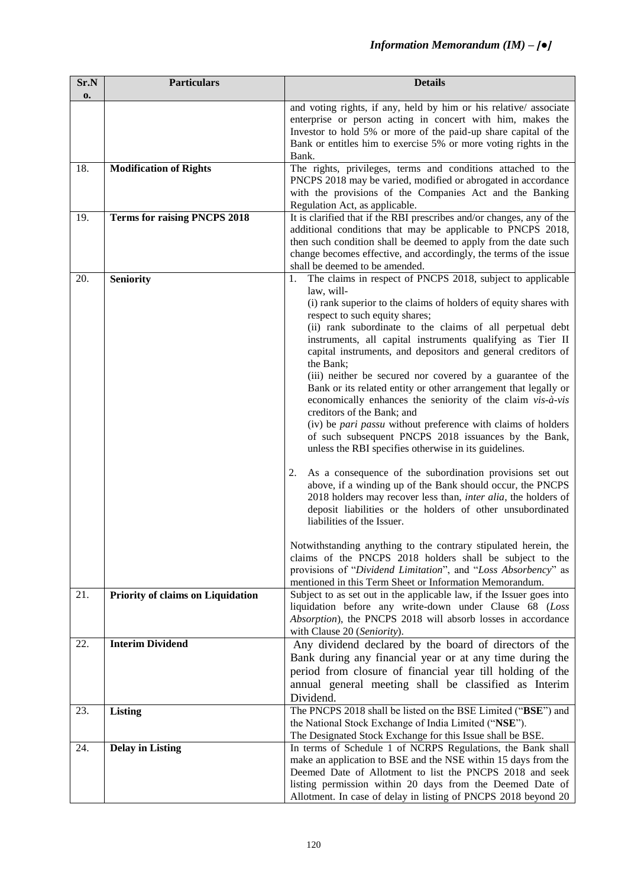| Sr.N<br>$\mathbf{0}$ | <b>Particulars</b>                  | <b>Details</b>                                                                                                                                                                                                                                                                                                                                                                                                                                                                                                                                                                                                                                                                                                                                                                                                                                                                                                                                                                                                                                                                                                                                                                                                                                                                                                  |
|----------------------|-------------------------------------|-----------------------------------------------------------------------------------------------------------------------------------------------------------------------------------------------------------------------------------------------------------------------------------------------------------------------------------------------------------------------------------------------------------------------------------------------------------------------------------------------------------------------------------------------------------------------------------------------------------------------------------------------------------------------------------------------------------------------------------------------------------------------------------------------------------------------------------------------------------------------------------------------------------------------------------------------------------------------------------------------------------------------------------------------------------------------------------------------------------------------------------------------------------------------------------------------------------------------------------------------------------------------------------------------------------------|
|                      |                                     | and voting rights, if any, held by him or his relative/associate<br>enterprise or person acting in concert with him, makes the<br>Investor to hold 5% or more of the paid-up share capital of the<br>Bank or entitles him to exercise 5% or more voting rights in the<br>Bank.                                                                                                                                                                                                                                                                                                                                                                                                                                                                                                                                                                                                                                                                                                                                                                                                                                                                                                                                                                                                                                  |
| 18.                  | <b>Modification of Rights</b>       | The rights, privileges, terms and conditions attached to the<br>PNCPS 2018 may be varied, modified or abrogated in accordance<br>with the provisions of the Companies Act and the Banking<br>Regulation Act, as applicable.                                                                                                                                                                                                                                                                                                                                                                                                                                                                                                                                                                                                                                                                                                                                                                                                                                                                                                                                                                                                                                                                                     |
| 19.                  | <b>Terms for raising PNCPS 2018</b> | It is clarified that if the RBI prescribes and/or changes, any of the<br>additional conditions that may be applicable to PNCPS 2018,<br>then such condition shall be deemed to apply from the date such<br>change becomes effective, and accordingly, the terms of the issue<br>shall be deemed to be amended.                                                                                                                                                                                                                                                                                                                                                                                                                                                                                                                                                                                                                                                                                                                                                                                                                                                                                                                                                                                                  |
| 20.                  | <b>Seniority</b>                    | The claims in respect of PNCPS 2018, subject to applicable<br>1.<br>law, will-<br>(i) rank superior to the claims of holders of equity shares with<br>respect to such equity shares;<br>(ii) rank subordinate to the claims of all perpetual debt<br>instruments, all capital instruments qualifying as Tier II<br>capital instruments, and depositors and general creditors of<br>the Bank;<br>(iii) neither be secured nor covered by a guarantee of the<br>Bank or its related entity or other arrangement that legally or<br>economically enhances the seniority of the claim vis-à-vis<br>creditors of the Bank; and<br>(iv) be <i>pari passu</i> without preference with claims of holders<br>of such subsequent PNCPS 2018 issuances by the Bank,<br>unless the RBI specifies otherwise in its guidelines.<br>As a consequence of the subordination provisions set out<br>2.<br>above, if a winding up of the Bank should occur, the PNCPS<br>2018 holders may recover less than, inter alia, the holders of<br>deposit liabilities or the holders of other unsubordinated<br>liabilities of the Issuer.<br>Notwithstanding anything to the contrary stipulated herein, the<br>claims of the PNCPS 2018 holders shall be subject to the<br>provisions of "Dividend Limitation", and "Loss Absorbency" as |
| 21.                  | Priority of claims on Liquidation   | mentioned in this Term Sheet or Information Memorandum.<br>Subject to as set out in the applicable law, if the Issuer goes into<br>liquidation before any write-down under Clause 68 (Loss<br>Absorption), the PNCPS 2018 will absorb losses in accordance<br>with Clause 20 (Seniority).                                                                                                                                                                                                                                                                                                                                                                                                                                                                                                                                                                                                                                                                                                                                                                                                                                                                                                                                                                                                                       |
| 22.                  | <b>Interim Dividend</b>             | Any dividend declared by the board of directors of the<br>Bank during any financial year or at any time during the<br>period from closure of financial year till holding of the<br>annual general meeting shall be classified as Interim<br>Dividend.                                                                                                                                                                                                                                                                                                                                                                                                                                                                                                                                                                                                                                                                                                                                                                                                                                                                                                                                                                                                                                                           |
| 23.                  | <b>Listing</b>                      | The PNCPS 2018 shall be listed on the BSE Limited ("BSE") and<br>the National Stock Exchange of India Limited ("NSE").<br>The Designated Stock Exchange for this Issue shall be BSE.                                                                                                                                                                                                                                                                                                                                                                                                                                                                                                                                                                                                                                                                                                                                                                                                                                                                                                                                                                                                                                                                                                                            |
| 24.                  | <b>Delay in Listing</b>             | In terms of Schedule 1 of NCRPS Regulations, the Bank shall<br>make an application to BSE and the NSE within 15 days from the<br>Deemed Date of Allotment to list the PNCPS 2018 and seek<br>listing permission within 20 days from the Deemed Date of<br>Allotment. In case of delay in listing of PNCPS 2018 beyond 20                                                                                                                                                                                                                                                                                                                                                                                                                                                                                                                                                                                                                                                                                                                                                                                                                                                                                                                                                                                        |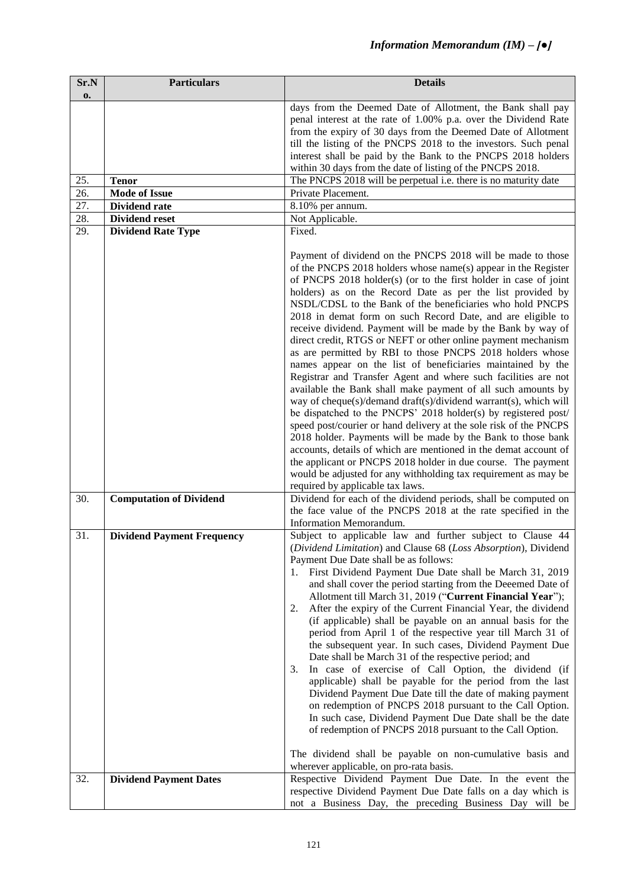| Sr.N<br>0. | <b>Particulars</b>                                 | <b>Details</b>                                                                                                                                                                                                                                                                                                                                                                                                                                                                                                                                                                                                                                                                                                                                                                                                                                                                                                                                                                                                                                                                                                                                                                                             |
|------------|----------------------------------------------------|------------------------------------------------------------------------------------------------------------------------------------------------------------------------------------------------------------------------------------------------------------------------------------------------------------------------------------------------------------------------------------------------------------------------------------------------------------------------------------------------------------------------------------------------------------------------------------------------------------------------------------------------------------------------------------------------------------------------------------------------------------------------------------------------------------------------------------------------------------------------------------------------------------------------------------------------------------------------------------------------------------------------------------------------------------------------------------------------------------------------------------------------------------------------------------------------------------|
|            |                                                    | days from the Deemed Date of Allotment, the Bank shall pay<br>penal interest at the rate of 1.00% p.a. over the Dividend Rate<br>from the expiry of 30 days from the Deemed Date of Allotment<br>till the listing of the PNCPS 2018 to the investors. Such penal<br>interest shall be paid by the Bank to the PNCPS 2018 holders<br>within 30 days from the date of listing of the PNCPS 2018.                                                                                                                                                                                                                                                                                                                                                                                                                                                                                                                                                                                                                                                                                                                                                                                                             |
| 25.        | <b>Tenor</b>                                       | The PNCPS 2018 will be perpetual i.e. there is no maturity date                                                                                                                                                                                                                                                                                                                                                                                                                                                                                                                                                                                                                                                                                                                                                                                                                                                                                                                                                                                                                                                                                                                                            |
| 26.        | <b>Mode of Issue</b>                               | Private Placement.                                                                                                                                                                                                                                                                                                                                                                                                                                                                                                                                                                                                                                                                                                                                                                                                                                                                                                                                                                                                                                                                                                                                                                                         |
| 27.        | <b>Dividend rate</b>                               | 8.10% per annum.                                                                                                                                                                                                                                                                                                                                                                                                                                                                                                                                                                                                                                                                                                                                                                                                                                                                                                                                                                                                                                                                                                                                                                                           |
| 28.<br>29. | <b>Dividend reset</b><br><b>Dividend Rate Type</b> | Not Applicable.<br>Fixed.                                                                                                                                                                                                                                                                                                                                                                                                                                                                                                                                                                                                                                                                                                                                                                                                                                                                                                                                                                                                                                                                                                                                                                                  |
|            |                                                    | Payment of dividend on the PNCPS 2018 will be made to those<br>of the PNCPS 2018 holders whose name(s) appear in the Register<br>of PNCPS 2018 holder(s) (or to the first holder in case of joint<br>holders) as on the Record Date as per the list provided by<br>NSDL/CDSL to the Bank of the beneficiaries who hold PNCPS<br>2018 in demat form on such Record Date, and are eligible to<br>receive dividend. Payment will be made by the Bank by way of<br>direct credit, RTGS or NEFT or other online payment mechanism<br>as are permitted by RBI to those PNCPS 2018 holders whose<br>names appear on the list of beneficiaries maintained by the<br>Registrar and Transfer Agent and where such facilities are not<br>available the Bank shall make payment of all such amounts by<br>way of cheque(s)/demand draft(s)/dividend warrant(s), which will<br>be dispatched to the PNCPS' 2018 holder(s) by registered post/<br>speed post/courier or hand delivery at the sole risk of the PNCPS<br>2018 holder. Payments will be made by the Bank to those bank<br>accounts, details of which are mentioned in the demat account of<br>the applicant or PNCPS 2018 holder in due course. The payment |
|            |                                                    | would be adjusted for any withholding tax requirement as may be<br>required by applicable tax laws.                                                                                                                                                                                                                                                                                                                                                                                                                                                                                                                                                                                                                                                                                                                                                                                                                                                                                                                                                                                                                                                                                                        |
| 30.        | <b>Computation of Dividend</b>                     | Dividend for each of the dividend periods, shall be computed on<br>the face value of the PNCPS 2018 at the rate specified in the<br>Information Memorandum.                                                                                                                                                                                                                                                                                                                                                                                                                                                                                                                                                                                                                                                                                                                                                                                                                                                                                                                                                                                                                                                |
| 31.        | <b>Dividend Payment Frequency</b>                  | Subject to applicable law and further subject to Clause 44<br>(Dividend Limitation) and Clause 68 (Loss Absorption), Dividend<br>Payment Due Date shall be as follows:<br>First Dividend Payment Due Date shall be March 31, 2019<br>1.<br>and shall cover the period starting from the Deeemed Date of<br>Allotment till March 31, 2019 ("Current Financial Year");<br>After the expiry of the Current Financial Year, the dividend<br>2.<br>(if applicable) shall be payable on an annual basis for the<br>period from April 1 of the respective year till March 31 of<br>the subsequent year. In such cases, Dividend Payment Due<br>Date shall be March 31 of the respective period; and<br>In case of exercise of Call Option, the dividend (if<br>3.<br>applicable) shall be payable for the period from the last<br>Dividend Payment Due Date till the date of making payment<br>on redemption of PNCPS 2018 pursuant to the Call Option.<br>In such case, Dividend Payment Due Date shall be the date<br>of redemption of PNCPS 2018 pursuant to the Call Option.<br>The dividend shall be payable on non-cumulative basis and<br>wherever applicable, on pro-rata basis.                          |
| 32.        | <b>Dividend Payment Dates</b>                      | Respective Dividend Payment Due Date. In the event the<br>respective Dividend Payment Due Date falls on a day which is<br>not a Business Day, the preceding Business Day will be                                                                                                                                                                                                                                                                                                                                                                                                                                                                                                                                                                                                                                                                                                                                                                                                                                                                                                                                                                                                                           |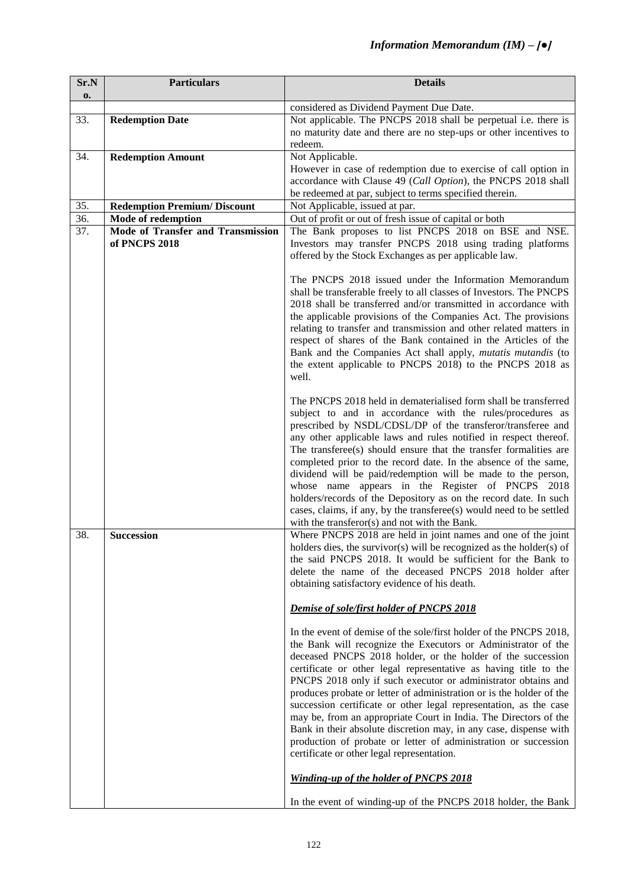| Sr.N              | <b>Particulars</b>                       | <b>Details</b>                                                                                                                        |
|-------------------|------------------------------------------|---------------------------------------------------------------------------------------------------------------------------------------|
| 0.                |                                          | considered as Dividend Payment Due Date.                                                                                              |
| 33.               | <b>Redemption Date</b>                   | Not applicable. The PNCPS 2018 shall be perpetual i.e. there is                                                                       |
|                   |                                          | no maturity date and there are no step-ups or other incentives to                                                                     |
|                   |                                          | redeem.                                                                                                                               |
| 34.               | <b>Redemption Amount</b>                 | Not Applicable.                                                                                                                       |
|                   |                                          | However in case of redemption due to exercise of call option in                                                                       |
|                   |                                          | accordance with Clause 49 (Call Option), the PNCPS 2018 shall                                                                         |
|                   |                                          | be redeemed at par, subject to terms specified therein.                                                                               |
| 35.               | <b>Redemption Premium/Discount</b>       | Not Applicable, issued at par.                                                                                                        |
| $\overline{36}$ . | Mode of redemption                       | Out of profit or out of fresh issue of capital or both                                                                                |
| 37.               | <b>Mode of Transfer and Transmission</b> | The Bank proposes to list PNCPS 2018 on BSE and NSE.                                                                                  |
|                   | of PNCPS 2018                            | Investors may transfer PNCPS 2018 using trading platforms                                                                             |
|                   |                                          | offered by the Stock Exchanges as per applicable law.                                                                                 |
|                   |                                          |                                                                                                                                       |
|                   |                                          | The PNCPS 2018 issued under the Information Memorandum                                                                                |
|                   |                                          | shall be transferable freely to all classes of Investors. The PNCPS                                                                   |
|                   |                                          | 2018 shall be transferred and/or transmitted in accordance with                                                                       |
|                   |                                          | the applicable provisions of the Companies Act. The provisions<br>relating to transfer and transmission and other related matters in  |
|                   |                                          | respect of shares of the Bank contained in the Articles of the                                                                        |
|                   |                                          | Bank and the Companies Act shall apply, mutatis mutandis (to                                                                          |
|                   |                                          | the extent applicable to PNCPS 2018) to the PNCPS 2018 as                                                                             |
|                   |                                          | well.                                                                                                                                 |
|                   |                                          |                                                                                                                                       |
|                   |                                          | The PNCPS 2018 held in dematerialised form shall be transferred                                                                       |
|                   |                                          | subject to and in accordance with the rules/procedures as                                                                             |
|                   |                                          | prescribed by NSDL/CDSL/DP of the transferor/transferee and                                                                           |
|                   |                                          | any other applicable laws and rules notified in respect thereof.                                                                      |
|                   |                                          | The transferee(s) should ensure that the transfer formalities are                                                                     |
|                   |                                          | completed prior to the record date. In the absence of the same,                                                                       |
|                   |                                          | dividend will be paid/redemption will be made to the person,<br>whose name appears in the Register of PNCPS 2018                      |
|                   |                                          | holders/records of the Depository as on the record date. In such                                                                      |
|                   |                                          | cases, claims, if any, by the transferee(s) would need to be settled                                                                  |
|                   |                                          | with the transferor(s) and not with the Bank.                                                                                         |
| 38.               | <b>Succession</b>                        | Where PNCPS 2018 are held in joint names and one of the joint                                                                         |
|                   |                                          | holders dies, the survivor(s) will be recognized as the holder(s) of                                                                  |
|                   |                                          | the said PNCPS 2018. It would be sufficient for the Bank to                                                                           |
|                   |                                          | delete the name of the deceased PNCPS 2018 holder after                                                                               |
|                   |                                          | obtaining satisfactory evidence of his death.                                                                                         |
|                   |                                          | Demise of sole/first holder of PNCPS 2018                                                                                             |
|                   |                                          |                                                                                                                                       |
|                   |                                          | In the event of demise of the sole/first holder of the PNCPS 2018,                                                                    |
|                   |                                          | the Bank will recognize the Executors or Administrator of the                                                                         |
|                   |                                          | deceased PNCPS 2018 holder, or the holder of the succession                                                                           |
|                   |                                          | certificate or other legal representative as having title to the                                                                      |
|                   |                                          | PNCPS 2018 only if such executor or administrator obtains and                                                                         |
|                   |                                          | produces probate or letter of administration or is the holder of the                                                                  |
|                   |                                          | succession certificate or other legal representation, as the case                                                                     |
|                   |                                          | may be, from an appropriate Court in India. The Directors of the<br>Bank in their absolute discretion may, in any case, dispense with |
|                   |                                          | production of probate or letter of administration or succession                                                                       |
|                   |                                          | certificate or other legal representation.                                                                                            |
|                   |                                          |                                                                                                                                       |
|                   |                                          | <b>Winding-up of the holder of PNCPS 2018</b>                                                                                         |
|                   |                                          | In the event of winding-up of the PNCPS 2018 holder, the Bank                                                                         |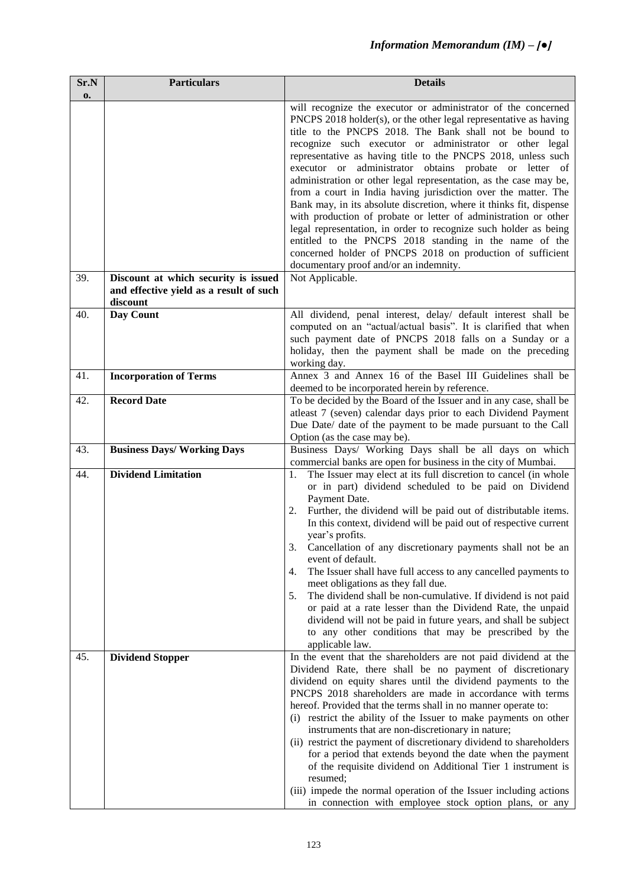| Sr.N | <b>Particulars</b>                      | <b>Details</b>                                                                                                                         |
|------|-----------------------------------------|----------------------------------------------------------------------------------------------------------------------------------------|
| 0.   |                                         |                                                                                                                                        |
|      |                                         | will recognize the executor or administrator of the concerned                                                                          |
|      |                                         | PNCPS 2018 holder(s), or the other legal representative as having                                                                      |
|      |                                         | title to the PNCPS 2018. The Bank shall not be bound to                                                                                |
|      |                                         | recognize such executor or administrator or other legal                                                                                |
|      |                                         | representative as having title to the PNCPS 2018, unless such                                                                          |
|      |                                         | executor or administrator obtains probate or letter of                                                                                 |
|      |                                         | administration or other legal representation, as the case may be,                                                                      |
|      |                                         | from a court in India having jurisdiction over the matter. The                                                                         |
|      |                                         | Bank may, in its absolute discretion, where it thinks fit, dispense<br>with production of probate or letter of administration or other |
|      |                                         | legal representation, in order to recognize such holder as being                                                                       |
|      |                                         | entitled to the PNCPS 2018 standing in the name of the                                                                                 |
|      |                                         | concerned holder of PNCPS 2018 on production of sufficient                                                                             |
|      |                                         | documentary proof and/or an indemnity.                                                                                                 |
| 39.  | Discount at which security is issued    | Not Applicable.                                                                                                                        |
|      | and effective yield as a result of such |                                                                                                                                        |
|      | discount                                |                                                                                                                                        |
| 40.  | Day Count                               | All dividend, penal interest, delay/ default interest shall be                                                                         |
|      |                                         | computed on an "actual/actual basis". It is clarified that when                                                                        |
|      |                                         | such payment date of PNCPS 2018 falls on a Sunday or a                                                                                 |
|      |                                         | holiday, then the payment shall be made on the preceding                                                                               |
|      |                                         | working day.                                                                                                                           |
| 41.  | <b>Incorporation of Terms</b>           | Annex 3 and Annex 16 of the Basel III Guidelines shall be                                                                              |
|      |                                         | deemed to be incorporated herein by reference.                                                                                         |
| 42.  | <b>Record Date</b>                      | To be decided by the Board of the Issuer and in any case, shall be                                                                     |
|      |                                         | atleast 7 (seven) calendar days prior to each Dividend Payment<br>Due Date/ date of the payment to be made pursuant to the Call        |
|      |                                         | Option (as the case may be).                                                                                                           |
| 43.  | <b>Business Days/ Working Days</b>      | Business Days/ Working Days shall be all days on which                                                                                 |
|      |                                         | commercial banks are open for business in the city of Mumbai.                                                                          |
| 44.  | <b>Dividend Limitation</b>              | The Issuer may elect at its full discretion to cancel (in whole<br>1.                                                                  |
|      |                                         | or in part) dividend scheduled to be paid on Dividend                                                                                  |
|      |                                         | Payment Date.                                                                                                                          |
|      |                                         | Further, the dividend will be paid out of distributable items.<br>2.                                                                   |
|      |                                         | In this context, dividend will be paid out of respective current                                                                       |
|      |                                         | year's profits.                                                                                                                        |
|      |                                         | 3.<br>Cancellation of any discretionary payments shall not be an                                                                       |
|      |                                         | event of default.                                                                                                                      |
|      |                                         | The Issuer shall have full access to any cancelled payments to<br>4.<br>meet obligations as they fall due.                             |
|      |                                         | 5.<br>The dividend shall be non-cumulative. If dividend is not paid                                                                    |
|      |                                         | or paid at a rate lesser than the Dividend Rate, the unpaid                                                                            |
|      |                                         | dividend will not be paid in future years, and shall be subject                                                                        |
|      |                                         | to any other conditions that may be prescribed by the                                                                                  |
|      |                                         | applicable law.                                                                                                                        |
| 45.  | <b>Dividend Stopper</b>                 | In the event that the shareholders are not paid dividend at the                                                                        |
|      |                                         | Dividend Rate, there shall be no payment of discretionary                                                                              |
|      |                                         | dividend on equity shares until the dividend payments to the                                                                           |
|      |                                         | PNCPS 2018 shareholders are made in accordance with terms                                                                              |
|      |                                         | hereof. Provided that the terms shall in no manner operate to:                                                                         |
|      |                                         | (i) restrict the ability of the Issuer to make payments on other                                                                       |
|      |                                         | instruments that are non-discretionary in nature;                                                                                      |
|      |                                         | (ii) restrict the payment of discretionary dividend to shareholders                                                                    |
|      |                                         | for a period that extends beyond the date when the payment<br>of the requisite dividend on Additional Tier 1 instrument is             |
|      |                                         | resumed;                                                                                                                               |
|      |                                         | (iii) impede the normal operation of the Issuer including actions                                                                      |
|      |                                         | in connection with employee stock option plans, or any                                                                                 |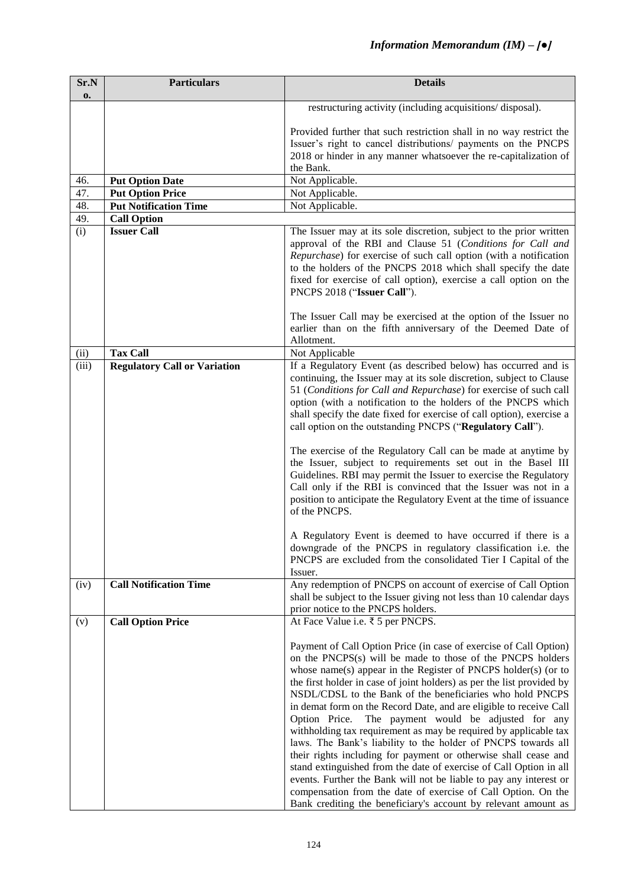| Sr.N<br>0. | <b>Particulars</b>                  | <b>Details</b>                                                                                                                                                                                                                                                                                                                                                                                                                                                                                                                                                                                                                                                                                                                                                                                                                                                                                                                                                                                       |
|------------|-------------------------------------|------------------------------------------------------------------------------------------------------------------------------------------------------------------------------------------------------------------------------------------------------------------------------------------------------------------------------------------------------------------------------------------------------------------------------------------------------------------------------------------------------------------------------------------------------------------------------------------------------------------------------------------------------------------------------------------------------------------------------------------------------------------------------------------------------------------------------------------------------------------------------------------------------------------------------------------------------------------------------------------------------|
|            |                                     | restructuring activity (including acquisitions/ disposal).                                                                                                                                                                                                                                                                                                                                                                                                                                                                                                                                                                                                                                                                                                                                                                                                                                                                                                                                           |
|            |                                     | Provided further that such restriction shall in no way restrict the<br>Issuer's right to cancel distributions/ payments on the PNCPS<br>2018 or hinder in any manner whatsoever the re-capitalization of<br>the Bank.                                                                                                                                                                                                                                                                                                                                                                                                                                                                                                                                                                                                                                                                                                                                                                                |
| 46.        | <b>Put Option Date</b>              | Not Applicable.                                                                                                                                                                                                                                                                                                                                                                                                                                                                                                                                                                                                                                                                                                                                                                                                                                                                                                                                                                                      |
| 47.        | <b>Put Option Price</b>             | Not Applicable.                                                                                                                                                                                                                                                                                                                                                                                                                                                                                                                                                                                                                                                                                                                                                                                                                                                                                                                                                                                      |
| 48.        | <b>Put Notification Time</b>        | Not Applicable.                                                                                                                                                                                                                                                                                                                                                                                                                                                                                                                                                                                                                                                                                                                                                                                                                                                                                                                                                                                      |
| 49.        | <b>Call Option</b>                  |                                                                                                                                                                                                                                                                                                                                                                                                                                                                                                                                                                                                                                                                                                                                                                                                                                                                                                                                                                                                      |
| (i)        | <b>Issuer Call</b>                  | The Issuer may at its sole discretion, subject to the prior written<br>approval of the RBI and Clause 51 (Conditions for Call and<br>Repurchase) for exercise of such call option (with a notification<br>to the holders of the PNCPS 2018 which shall specify the date<br>fixed for exercise of call option), exercise a call option on the<br>PNCPS 2018 ("Issuer Call").                                                                                                                                                                                                                                                                                                                                                                                                                                                                                                                                                                                                                          |
|            |                                     | The Issuer Call may be exercised at the option of the Issuer no<br>earlier than on the fifth anniversary of the Deemed Date of<br>Allotment.                                                                                                                                                                                                                                                                                                                                                                                                                                                                                                                                                                                                                                                                                                                                                                                                                                                         |
| (ii)       | <b>Tax Call</b>                     | Not Applicable                                                                                                                                                                                                                                                                                                                                                                                                                                                                                                                                                                                                                                                                                                                                                                                                                                                                                                                                                                                       |
| (iii)      | <b>Regulatory Call or Variation</b> | If a Regulatory Event (as described below) has occurred and is<br>continuing, the Issuer may at its sole discretion, subject to Clause<br>51 (Conditions for Call and Repurchase) for exercise of such call<br>option (with a notification to the holders of the PNCPS which<br>shall specify the date fixed for exercise of call option), exercise a<br>call option on the outstanding PNCPS ("Regulatory Call").<br>The exercise of the Regulatory Call can be made at anytime by<br>the Issuer, subject to requirements set out in the Basel III<br>Guidelines. RBI may permit the Issuer to exercise the Regulatory<br>Call only if the RBI is convinced that the Issuer was not in a<br>position to anticipate the Regulatory Event at the time of issuance<br>of the PNCPS.<br>A Regulatory Event is deemed to have occurred if there is a<br>downgrade of the PNCPS in regulatory classification i.e. the<br>PNCPS are excluded from the consolidated Tier I Capital of the<br>Issuer.        |
| (iv)       | <b>Call Notification Time</b>       | Any redemption of PNCPS on account of exercise of Call Option<br>shall be subject to the Issuer giving not less than 10 calendar days<br>prior notice to the PNCPS holders.                                                                                                                                                                                                                                                                                                                                                                                                                                                                                                                                                                                                                                                                                                                                                                                                                          |
| (v)        | <b>Call Option Price</b>            | At Face Value i.e. ₹ 5 per PNCPS.<br>Payment of Call Option Price (in case of exercise of Call Option)<br>on the PNCPS(s) will be made to those of the PNCPS holders<br>whose name(s) appear in the Register of PNCPS holder(s) (or to<br>the first holder in case of joint holders) as per the list provided by<br>NSDL/CDSL to the Bank of the beneficiaries who hold PNCPS<br>in demat form on the Record Date, and are eligible to receive Call<br>Option Price.<br>The payment would be adjusted for any<br>withholding tax requirement as may be required by applicable tax<br>laws. The Bank's liability to the holder of PNCPS towards all<br>their rights including for payment or otherwise shall cease and<br>stand extinguished from the date of exercise of Call Option in all<br>events. Further the Bank will not be liable to pay any interest or<br>compensation from the date of exercise of Call Option. On the<br>Bank crediting the beneficiary's account by relevant amount as |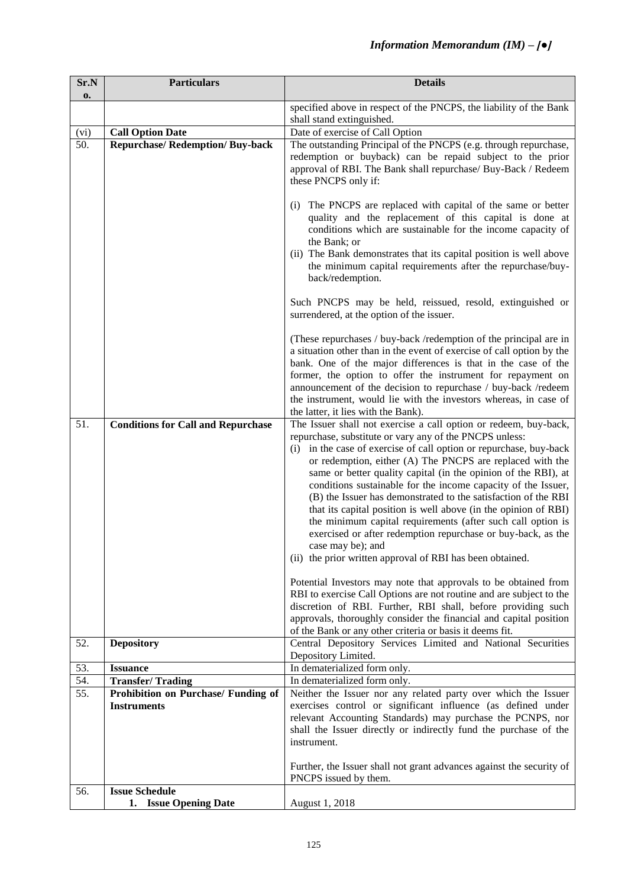| Sr.N | <b>Particulars</b>                                        | <b>Details</b>                                                                                                                                                                                                                                                                                                                                                                                                                                                                                                                                                                                                                                                                                                                                                                                                                                                                                                                                                                                                                                                                                     |  |
|------|-----------------------------------------------------------|----------------------------------------------------------------------------------------------------------------------------------------------------------------------------------------------------------------------------------------------------------------------------------------------------------------------------------------------------------------------------------------------------------------------------------------------------------------------------------------------------------------------------------------------------------------------------------------------------------------------------------------------------------------------------------------------------------------------------------------------------------------------------------------------------------------------------------------------------------------------------------------------------------------------------------------------------------------------------------------------------------------------------------------------------------------------------------------------------|--|
| 0.   |                                                           |                                                                                                                                                                                                                                                                                                                                                                                                                                                                                                                                                                                                                                                                                                                                                                                                                                                                                                                                                                                                                                                                                                    |  |
|      |                                                           | specified above in respect of the PNCPS, the liability of the Bank<br>shall stand extinguished.                                                                                                                                                                                                                                                                                                                                                                                                                                                                                                                                                                                                                                                                                                                                                                                                                                                                                                                                                                                                    |  |
| (vi) | <b>Call Option Date</b>                                   | Date of exercise of Call Option                                                                                                                                                                                                                                                                                                                                                                                                                                                                                                                                                                                                                                                                                                                                                                                                                                                                                                                                                                                                                                                                    |  |
| 50.  | <b>Repurchase/ Redemption/ Buy-back</b>                   | The outstanding Principal of the PNCPS (e.g. through repurchase,<br>redemption or buyback) can be repaid subject to the prior<br>approval of RBI. The Bank shall repurchase/ Buy-Back / Redeem<br>these PNCPS only if:                                                                                                                                                                                                                                                                                                                                                                                                                                                                                                                                                                                                                                                                                                                                                                                                                                                                             |  |
|      |                                                           | (i) The PNCPS are replaced with capital of the same or better<br>quality and the replacement of this capital is done at<br>conditions which are sustainable for the income capacity of<br>the Bank; or<br>(ii) The Bank demonstrates that its capital position is well above<br>the minimum capital requirements after the repurchase/buy-<br>back/redemption.                                                                                                                                                                                                                                                                                                                                                                                                                                                                                                                                                                                                                                                                                                                                     |  |
|      |                                                           | Such PNCPS may be held, reissued, resold, extinguished or<br>surrendered, at the option of the issuer.                                                                                                                                                                                                                                                                                                                                                                                                                                                                                                                                                                                                                                                                                                                                                                                                                                                                                                                                                                                             |  |
|      |                                                           | (These repurchases / buy-back /redemption of the principal are in<br>a situation other than in the event of exercise of call option by the<br>bank. One of the major differences is that in the case of the<br>former, the option to offer the instrument for repayment on<br>announcement of the decision to repurchase / buy-back /redeem<br>the instrument, would lie with the investors whereas, in case of<br>the latter, it lies with the Bank).                                                                                                                                                                                                                                                                                                                                                                                                                                                                                                                                                                                                                                             |  |
| 51.  | <b>Conditions for Call and Repurchase</b>                 | The Issuer shall not exercise a call option or redeem, buy-back,<br>repurchase, substitute or vary any of the PNCPS unless:<br>(i) in the case of exercise of call option or repurchase, buy-back<br>or redemption, either (A) The PNCPS are replaced with the<br>same or better quality capital (in the opinion of the RBI), at<br>conditions sustainable for the income capacity of the Issuer,<br>(B) the Issuer has demonstrated to the satisfaction of the RBI<br>that its capital position is well above (in the opinion of RBI)<br>the minimum capital requirements (after such call option is<br>exercised or after redemption repurchase or buy-back, as the<br>case may be); and<br>(ii) the prior written approval of RBI has been obtained.<br>Potential Investors may note that approvals to be obtained from<br>RBI to exercise Call Options are not routine and are subject to the<br>discretion of RBI. Further, RBI shall, before providing such<br>approvals, thoroughly consider the financial and capital position<br>of the Bank or any other criteria or basis it deems fit. |  |
| 52.  | <b>Depository</b>                                         | Central Depository Services Limited and National Securities<br>Depository Limited.                                                                                                                                                                                                                                                                                                                                                                                                                                                                                                                                                                                                                                                                                                                                                                                                                                                                                                                                                                                                                 |  |
| 53.  | <b>Issuance</b>                                           | In dematerialized form only.                                                                                                                                                                                                                                                                                                                                                                                                                                                                                                                                                                                                                                                                                                                                                                                                                                                                                                                                                                                                                                                                       |  |
| 54.  | <b>Transfer/Trading</b>                                   | In dematerialized form only.                                                                                                                                                                                                                                                                                                                                                                                                                                                                                                                                                                                                                                                                                                                                                                                                                                                                                                                                                                                                                                                                       |  |
| 55.  | Prohibition on Purchase/ Funding of<br><b>Instruments</b> | Neither the Issuer nor any related party over which the Issuer<br>exercises control or significant influence (as defined under<br>relevant Accounting Standards) may purchase the PCNPS, nor<br>shall the Issuer directly or indirectly fund the purchase of the<br>instrument.<br>Further, the Issuer shall not grant advances against the security of                                                                                                                                                                                                                                                                                                                                                                                                                                                                                                                                                                                                                                                                                                                                            |  |
|      |                                                           | PNCPS issued by them.                                                                                                                                                                                                                                                                                                                                                                                                                                                                                                                                                                                                                                                                                                                                                                                                                                                                                                                                                                                                                                                                              |  |
| 56.  | <b>Issue Schedule</b>                                     |                                                                                                                                                                                                                                                                                                                                                                                                                                                                                                                                                                                                                                                                                                                                                                                                                                                                                                                                                                                                                                                                                                    |  |
|      | 1. Issue Opening Date                                     | August 1, 2018                                                                                                                                                                                                                                                                                                                                                                                                                                                                                                                                                                                                                                                                                                                                                                                                                                                                                                                                                                                                                                                                                     |  |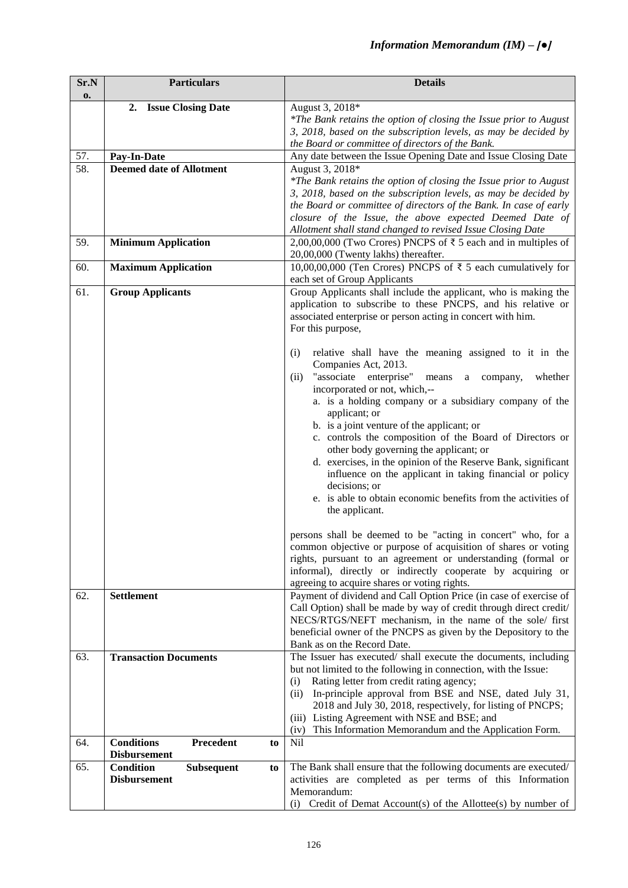| Sr.N | <b>Particulars</b>                          | <b>Details</b>                                                                                       |
|------|---------------------------------------------|------------------------------------------------------------------------------------------------------|
| 0.   |                                             |                                                                                                      |
|      | 2. Issue Closing Date                       | August 3, 2018*                                                                                      |
|      |                                             | *The Bank retains the option of closing the Issue prior to August                                    |
|      |                                             | 3, 2018, based on the subscription levels, as may be decided by                                      |
|      |                                             | the Board or committee of directors of the Bank.                                                     |
| 57.  | Pay-In-Date                                 | Any date between the Issue Opening Date and Issue Closing Date                                       |
| 58.  | <b>Deemed date of Allotment</b>             | August 3, 2018*                                                                                      |
|      |                                             | *The Bank retains the option of closing the Issue prior to August                                    |
|      |                                             | 3, 2018, based on the subscription levels, as may be decided by                                      |
|      |                                             | the Board or committee of directors of the Bank. In case of early                                    |
|      |                                             | closure of the Issue, the above expected Deemed Date of                                              |
|      |                                             | Allotment shall stand changed to revised Issue Closing Date                                          |
| 59.  | <b>Minimum Application</b>                  | 2,00,00,000 (Two Crores) PNCPS of $\bar{\tau}$ 5 each and in multiples of                            |
|      |                                             | 20,00,000 (Twenty lakhs) thereafter.                                                                 |
| 60.  | <b>Maximum Application</b>                  | 10,00,00,000 (Ten Crores) PNCPS of ₹ 5 each cumulatively for                                         |
|      |                                             | each set of Group Applicants                                                                         |
| 61.  | <b>Group Applicants</b>                     | Group Applicants shall include the applicant, who is making the                                      |
|      |                                             | application to subscribe to these PNCPS, and his relative or                                         |
|      |                                             | associated enterprise or person acting in concert with him.                                          |
|      |                                             | For this purpose,                                                                                    |
|      |                                             |                                                                                                      |
|      |                                             | (i)<br>relative shall have the meaning assigned to it in the                                         |
|      |                                             | Companies Act, 2013.                                                                                 |
|      |                                             | "associate enterprise"<br>(ii)<br>means<br>whether<br>company,<br>a<br>incorporated or not, which,-- |
|      |                                             | a. is a holding company or a subsidiary company of the                                               |
|      |                                             | applicant; or                                                                                        |
|      |                                             | b. is a joint venture of the applicant; or                                                           |
|      |                                             | c. controls the composition of the Board of Directors or                                             |
|      |                                             | other body governing the applicant; or                                                               |
|      |                                             | d. exercises, in the opinion of the Reserve Bank, significant                                        |
|      |                                             | influence on the applicant in taking financial or policy                                             |
|      |                                             | decisions; or                                                                                        |
|      |                                             | e. is able to obtain economic benefits from the activities of                                        |
|      |                                             | the applicant.                                                                                       |
|      |                                             |                                                                                                      |
|      |                                             | persons shall be deemed to be "acting in concert" who, for a                                         |
|      |                                             | common objective or purpose of acquisition of shares or voting                                       |
|      |                                             | rights, pursuant to an agreement or understanding (formal or                                         |
|      |                                             | informal), directly or indirectly cooperate by acquiring or                                          |
|      |                                             | agreeing to acquire shares or voting rights.                                                         |
| 62.  | <b>Settlement</b>                           | Payment of dividend and Call Option Price (in case of exercise of                                    |
|      |                                             | Call Option) shall be made by way of credit through direct credit/                                   |
|      |                                             | NECS/RTGS/NEFT mechanism, in the name of the sole/ first                                             |
|      |                                             | beneficial owner of the PNCPS as given by the Depository to the                                      |
|      |                                             | Bank as on the Record Date.                                                                          |
| 63.  | <b>Transaction Documents</b>                | The Issuer has executed/ shall execute the documents, including                                      |
|      |                                             | but not limited to the following in connection, with the Issue:                                      |
|      |                                             | Rating letter from credit rating agency;<br>(i)                                                      |
|      |                                             | In-principle approval from BSE and NSE, dated July 31,<br>(ii)                                       |
|      |                                             | 2018 and July 30, 2018, respectively, for listing of PNCPS;                                          |
|      |                                             | (iii) Listing Agreement with NSE and BSE; and                                                        |
|      |                                             | This Information Memorandum and the Application Form.<br>(iv)                                        |
| 64.  | <b>Conditions</b><br>Precedent<br>to        | <b>Nil</b>                                                                                           |
|      | <b>Disbursement</b>                         |                                                                                                      |
| 65.  | <b>Condition</b><br><b>Subsequent</b><br>to | The Bank shall ensure that the following documents are executed/                                     |
|      | <b>Disbursement</b>                         | activities are completed as per terms of this Information                                            |
|      |                                             | Memorandum:                                                                                          |
|      |                                             | Credit of Demat Account(s) of the Allottee(s) by number of<br>(i)                                    |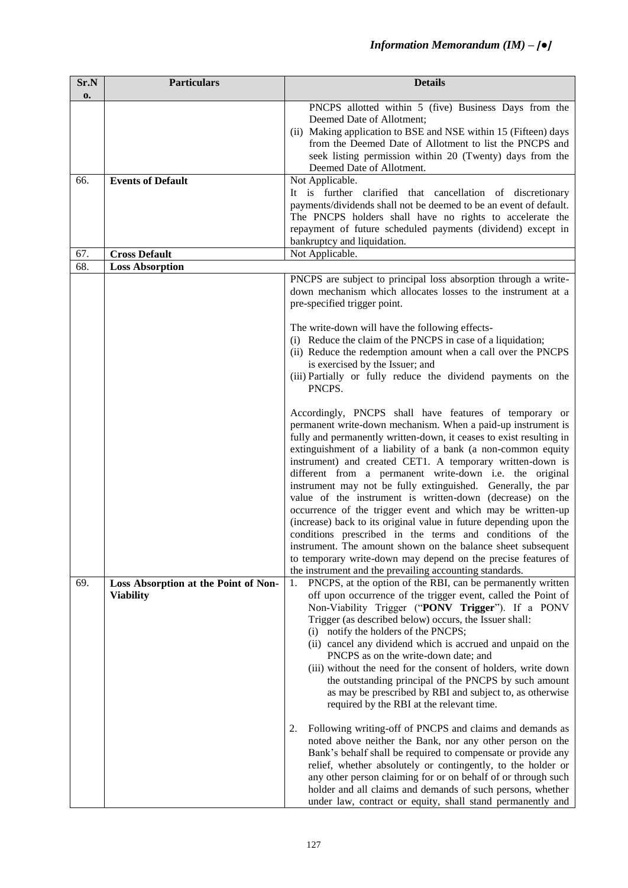| Sr.N | <b>Particulars</b>                   | <b>Details</b>                                                                                                                      |  |  |
|------|--------------------------------------|-------------------------------------------------------------------------------------------------------------------------------------|--|--|
| 0.   |                                      |                                                                                                                                     |  |  |
|      |                                      | PNCPS allotted within 5 (five) Business Days from the<br>Deemed Date of Allotment;                                                  |  |  |
|      |                                      | (ii) Making application to BSE and NSE within 15 (Fifteen) days                                                                     |  |  |
|      |                                      | from the Deemed Date of Allotment to list the PNCPS and                                                                             |  |  |
|      |                                      | seek listing permission within 20 (Twenty) days from the                                                                            |  |  |
|      |                                      | Deemed Date of Allotment.                                                                                                           |  |  |
| 66.  | <b>Events of Default</b>             | Not Applicable.                                                                                                                     |  |  |
|      |                                      | It is further clarified that cancellation of discretionary                                                                          |  |  |
|      |                                      | payments/dividends shall not be deemed to be an event of default.<br>The PNCPS holders shall have no rights to accelerate the       |  |  |
|      |                                      | repayment of future scheduled payments (dividend) except in                                                                         |  |  |
|      |                                      | bankruptcy and liquidation.                                                                                                         |  |  |
| 67.  | <b>Cross Default</b>                 | Not Applicable.                                                                                                                     |  |  |
| 68.  | <b>Loss Absorption</b>               |                                                                                                                                     |  |  |
|      |                                      | PNCPS are subject to principal loss absorption through a write-<br>down mechanism which allocates losses to the instrument at a     |  |  |
|      |                                      | pre-specified trigger point.                                                                                                        |  |  |
|      |                                      |                                                                                                                                     |  |  |
|      |                                      | The write-down will have the following effects-                                                                                     |  |  |
|      |                                      | (i) Reduce the claim of the PNCPS in case of a liquidation;                                                                         |  |  |
|      |                                      | (ii) Reduce the redemption amount when a call over the PNCPS<br>is exercised by the Issuer; and                                     |  |  |
|      |                                      | (iii) Partially or fully reduce the dividend payments on the                                                                        |  |  |
|      |                                      | PNCPS.                                                                                                                              |  |  |
|      |                                      |                                                                                                                                     |  |  |
|      |                                      | Accordingly, PNCPS shall have features of temporary or                                                                              |  |  |
|      |                                      | permanent write-down mechanism. When a paid-up instrument is<br>fully and permanently written-down, it ceases to exist resulting in |  |  |
|      |                                      | extinguishment of a liability of a bank (a non-common equity                                                                        |  |  |
|      |                                      | instrument) and created CET1. A temporary written-down is                                                                           |  |  |
|      |                                      | different from a permanent write-down i.e. the original                                                                             |  |  |
|      |                                      | instrument may not be fully extinguished. Generally, the par                                                                        |  |  |
|      |                                      | value of the instrument is written-down (decrease) on the<br>occurrence of the trigger event and which may be written-up            |  |  |
|      |                                      | (increase) back to its original value in future depending upon the                                                                  |  |  |
|      |                                      | conditions prescribed in the terms and conditions of the                                                                            |  |  |
|      |                                      | instrument. The amount shown on the balance sheet subsequent                                                                        |  |  |
|      |                                      | to temporary write-down may depend on the precise features of                                                                       |  |  |
| 69.  | Loss Absorption at the Point of Non- | the instrument and the prevailing accounting standards.<br>PNCPS, at the option of the RBI, can be permanently written<br>1.        |  |  |
|      | <b>Viability</b>                     | off upon occurrence of the trigger event, called the Point of                                                                       |  |  |
|      |                                      | Non-Viability Trigger ("PONV Trigger"). If a PONV                                                                                   |  |  |
|      |                                      | Trigger (as described below) occurs, the Issuer shall:                                                                              |  |  |
|      |                                      | (i) notify the holders of the PNCPS;                                                                                                |  |  |
|      |                                      | (ii) cancel any dividend which is accrued and unpaid on the                                                                         |  |  |
|      |                                      | PNCPS as on the write-down date; and<br>(iii) without the need for the consent of holders, write down                               |  |  |
|      |                                      | the outstanding principal of the PNCPS by such amount                                                                               |  |  |
|      |                                      | as may be prescribed by RBI and subject to, as otherwise                                                                            |  |  |
|      |                                      | required by the RBI at the relevant time.                                                                                           |  |  |
|      |                                      |                                                                                                                                     |  |  |
|      |                                      | Following writing-off of PNCPS and claims and demands as<br>2.<br>noted above neither the Bank, nor any other person on the         |  |  |
|      |                                      | Bank's behalf shall be required to compensate or provide any                                                                        |  |  |
|      |                                      | relief, whether absolutely or contingently, to the holder or                                                                        |  |  |
|      |                                      | any other person claiming for or on behalf of or through such                                                                       |  |  |
|      |                                      | holder and all claims and demands of such persons, whether                                                                          |  |  |
|      |                                      | under law, contract or equity, shall stand permanently and                                                                          |  |  |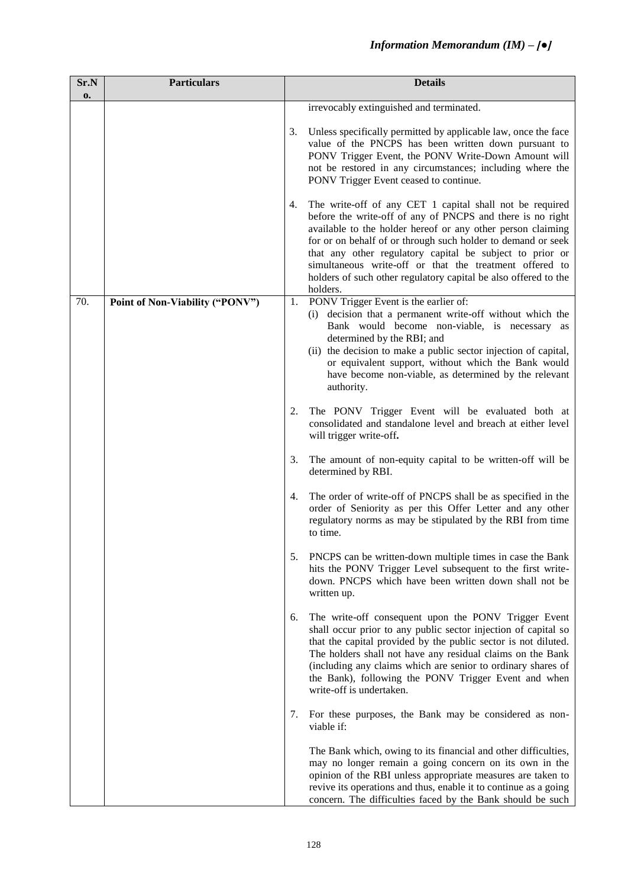| Sr.N | <b>Particulars</b>              |    | <b>Details</b>                                                                                                                                                                                                                                                                                                                                                                                                                                              |
|------|---------------------------------|----|-------------------------------------------------------------------------------------------------------------------------------------------------------------------------------------------------------------------------------------------------------------------------------------------------------------------------------------------------------------------------------------------------------------------------------------------------------------|
| 0.   |                                 |    | irrevocably extinguished and terminated.                                                                                                                                                                                                                                                                                                                                                                                                                    |
|      |                                 | 3. | Unless specifically permitted by applicable law, once the face<br>value of the PNCPS has been written down pursuant to<br>PONV Trigger Event, the PONV Write-Down Amount will<br>not be restored in any circumstances; including where the<br>PONV Trigger Event ceased to continue.                                                                                                                                                                        |
|      |                                 | 4. | The write-off of any CET 1 capital shall not be required<br>before the write-off of any of PNCPS and there is no right<br>available to the holder hereof or any other person claiming<br>for or on behalf of or through such holder to demand or seek<br>that any other regulatory capital be subject to prior or<br>simultaneous write-off or that the treatment offered to<br>holders of such other regulatory capital be also offered to the<br>holders. |
| 70.  | Point of Non-Viability ("PONV") | 1. | PONV Trigger Event is the earlier of:<br>(i) decision that a permanent write-off without which the<br>Bank would become non-viable, is necessary as<br>determined by the RBI; and<br>(ii) the decision to make a public sector injection of capital,<br>or equivalent support, without which the Bank would<br>have become non-viable, as determined by the relevant<br>authority.                                                                          |
|      |                                 | 2. | The PONV Trigger Event will be evaluated both at<br>consolidated and standalone level and breach at either level<br>will trigger write-off.                                                                                                                                                                                                                                                                                                                 |
|      |                                 | 3. | The amount of non-equity capital to be written-off will be<br>determined by RBI.                                                                                                                                                                                                                                                                                                                                                                            |
|      |                                 | 4. | The order of write-off of PNCPS shall be as specified in the<br>order of Seniority as per this Offer Letter and any other<br>regulatory norms as may be stipulated by the RBI from time<br>to time.                                                                                                                                                                                                                                                         |
|      |                                 | 5. | PNCPS can be written-down multiple times in case the Bank<br>hits the PONV Trigger Level subsequent to the first write-<br>down. PNCPS which have been written down shall not be<br>written up.                                                                                                                                                                                                                                                             |
|      |                                 | 6. | The write-off consequent upon the PONV Trigger Event<br>shall occur prior to any public sector injection of capital so<br>that the capital provided by the public sector is not diluted.<br>The holders shall not have any residual claims on the Bank<br>(including any claims which are senior to ordinary shares of<br>the Bank), following the PONV Trigger Event and when<br>write-off is undertaken.                                                  |
|      |                                 | 7. | For these purposes, the Bank may be considered as non-<br>viable if:                                                                                                                                                                                                                                                                                                                                                                                        |
|      |                                 |    | The Bank which, owing to its financial and other difficulties,<br>may no longer remain a going concern on its own in the<br>opinion of the RBI unless appropriate measures are taken to<br>revive its operations and thus, enable it to continue as a going<br>concern. The difficulties faced by the Bank should be such                                                                                                                                   |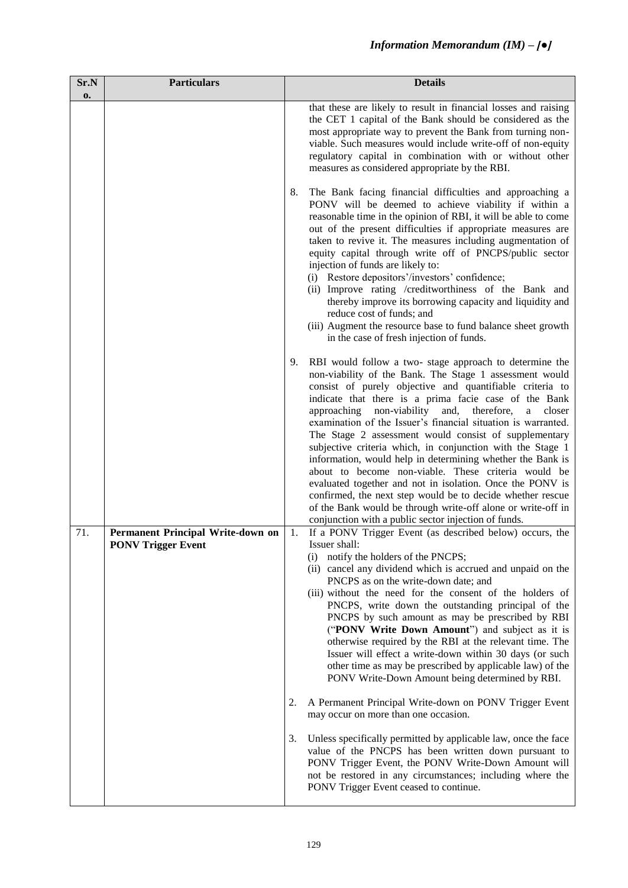| Sr.N<br>0. | <b>Particulars</b>                                             |    | <b>Details</b>                                                                                                                                                                                                                                                                                                                                                                                                                                                                                                                                                                                                                                                                                                                                                                                                                                                              |
|------------|----------------------------------------------------------------|----|-----------------------------------------------------------------------------------------------------------------------------------------------------------------------------------------------------------------------------------------------------------------------------------------------------------------------------------------------------------------------------------------------------------------------------------------------------------------------------------------------------------------------------------------------------------------------------------------------------------------------------------------------------------------------------------------------------------------------------------------------------------------------------------------------------------------------------------------------------------------------------|
|            |                                                                |    | that these are likely to result in financial losses and raising<br>the CET 1 capital of the Bank should be considered as the<br>most appropriate way to prevent the Bank from turning non-<br>viable. Such measures would include write-off of non-equity<br>regulatory capital in combination with or without other<br>measures as considered appropriate by the RBI.                                                                                                                                                                                                                                                                                                                                                                                                                                                                                                      |
|            |                                                                | 8. | The Bank facing financial difficulties and approaching a<br>PONV will be deemed to achieve viability if within a<br>reasonable time in the opinion of RBI, it will be able to come<br>out of the present difficulties if appropriate measures are<br>taken to revive it. The measures including augmentation of<br>equity capital through write off of PNCPS/public sector<br>injection of funds are likely to:<br>(i) Restore depositors'/investors' confidence;<br>(ii) Improve rating /creditworthiness of the Bank and<br>thereby improve its borrowing capacity and liquidity and<br>reduce cost of funds; and<br>(iii) Augment the resource base to fund balance sheet growth<br>in the case of fresh injection of funds.                                                                                                                                             |
|            |                                                                | 9. | RBI would follow a two-stage approach to determine the<br>non-viability of the Bank. The Stage 1 assessment would<br>consist of purely objective and quantifiable criteria to<br>indicate that there is a prima facie case of the Bank<br>and,<br>approaching<br>non-viability<br>therefore,<br>a<br>closer<br>examination of the Issuer's financial situation is warranted.<br>The Stage 2 assessment would consist of supplementary<br>subjective criteria which, in conjunction with the Stage 1<br>information, would help in determining whether the Bank is<br>about to become non-viable. These criteria would be<br>evaluated together and not in isolation. Once the PONV is<br>confirmed, the next step would be to decide whether rescue<br>of the Bank would be through write-off alone or write-off in<br>conjunction with a public sector injection of funds. |
| 71.        | Permanent Principal Write-down on<br><b>PONV Trigger Event</b> | 1. | If a PONV Trigger Event (as described below) occurs, the<br>Issuer shall:                                                                                                                                                                                                                                                                                                                                                                                                                                                                                                                                                                                                                                                                                                                                                                                                   |
|            |                                                                |    | notify the holders of the PNCPS;<br>(i)<br>(ii) cancel any dividend which is accrued and unpaid on the<br>PNCPS as on the write-down date; and<br>(iii) without the need for the consent of the holders of<br>PNCPS, write down the outstanding principal of the<br>PNCPS by such amount as may be prescribed by RBI<br>("PONV Write Down Amount") and subject as it is<br>otherwise required by the RBI at the relevant time. The<br>Issuer will effect a write-down within 30 days (or such<br>other time as may be prescribed by applicable law) of the<br>PONV Write-Down Amount being determined by RBI.                                                                                                                                                                                                                                                               |
|            |                                                                | 2. | A Permanent Principal Write-down on PONV Trigger Event<br>may occur on more than one occasion.                                                                                                                                                                                                                                                                                                                                                                                                                                                                                                                                                                                                                                                                                                                                                                              |
|            |                                                                | 3. | Unless specifically permitted by applicable law, once the face<br>value of the PNCPS has been written down pursuant to<br>PONV Trigger Event, the PONV Write-Down Amount will<br>not be restored in any circumstances; including where the<br>PONV Trigger Event ceased to continue.                                                                                                                                                                                                                                                                                                                                                                                                                                                                                                                                                                                        |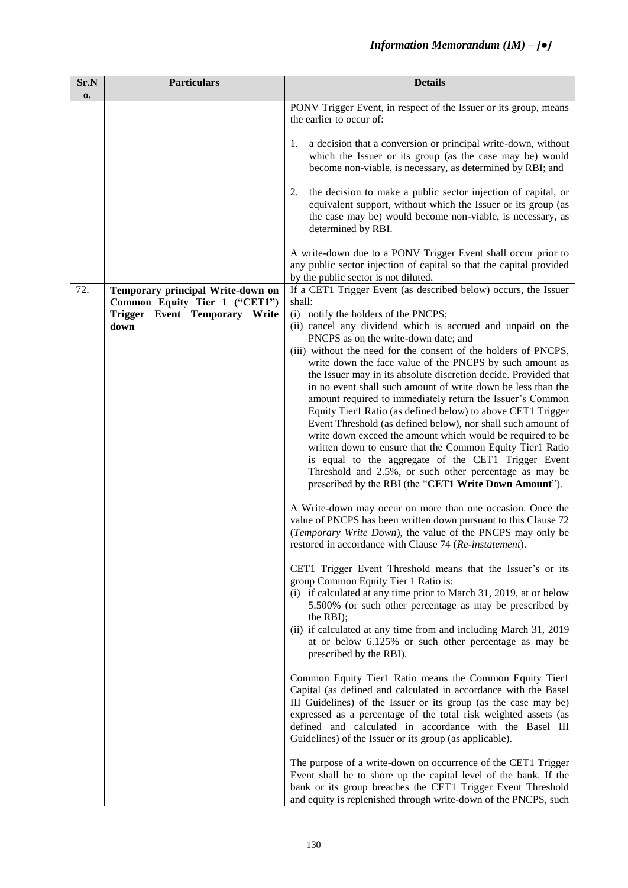| Sr.N<br>0. | <b>Particulars</b>                                                 | <b>Details</b>                                                                                                                                                                                                                                                                                                                                                                         |
|------------|--------------------------------------------------------------------|----------------------------------------------------------------------------------------------------------------------------------------------------------------------------------------------------------------------------------------------------------------------------------------------------------------------------------------------------------------------------------------|
|            |                                                                    | PONV Trigger Event, in respect of the Issuer or its group, means<br>the earlier to occur of:                                                                                                                                                                                                                                                                                           |
|            |                                                                    | a decision that a conversion or principal write-down, without<br>1.<br>which the Issuer or its group (as the case may be) would<br>become non-viable, is necessary, as determined by RBI; and                                                                                                                                                                                          |
|            |                                                                    | the decision to make a public sector injection of capital, or<br>2.<br>equivalent support, without which the Issuer or its group (as<br>the case may be) would become non-viable, is necessary, as<br>determined by RBI.                                                                                                                                                               |
|            |                                                                    | A write-down due to a PONV Trigger Event shall occur prior to<br>any public sector injection of capital so that the capital provided<br>by the public sector is not diluted.                                                                                                                                                                                                           |
| 72.        | Temporary principal Write-down on<br>Common Equity Tier 1 ("CET1") | If a CET1 Trigger Event (as described below) occurs, the Issuer<br>shall:                                                                                                                                                                                                                                                                                                              |
|            | Trigger Event Temporary Write                                      | (i) notify the holders of the PNCPS;                                                                                                                                                                                                                                                                                                                                                   |
|            | down                                                               | (ii) cancel any dividend which is accrued and unpaid on the<br>PNCPS as on the write-down date; and                                                                                                                                                                                                                                                                                    |
|            |                                                                    | (iii) without the need for the consent of the holders of PNCPS,<br>write down the face value of the PNCPS by such amount as                                                                                                                                                                                                                                                            |
|            |                                                                    | the Issuer may in its absolute discretion decide. Provided that<br>in no event shall such amount of write down be less than the                                                                                                                                                                                                                                                        |
|            |                                                                    | amount required to immediately return the Issuer's Common                                                                                                                                                                                                                                                                                                                              |
|            |                                                                    | Equity Tier1 Ratio (as defined below) to above CET1 Trigger<br>Event Threshold (as defined below), nor shall such amount of                                                                                                                                                                                                                                                            |
|            |                                                                    | write down exceed the amount which would be required to be<br>written down to ensure that the Common Equity Tier1 Ratio<br>is equal to the aggregate of the CET1 Trigger Event<br>Threshold and 2.5%, or such other percentage as may be<br>prescribed by the RBI (the "CET1 Write Down Amount").                                                                                      |
|            |                                                                    | A Write-down may occur on more than one occasion. Once the<br>value of PNCPS has been written down pursuant to this Clause 72<br>(Temporary Write Down), the value of the PNCPS may only be<br>restored in accordance with Clause 74 (Re-instatement).                                                                                                                                 |
|            |                                                                    | CET1 Trigger Event Threshold means that the Issuer's or its<br>group Common Equity Tier 1 Ratio is:<br>(i) if calculated at any time prior to March 31, 2019, at or below<br>5.500% (or such other percentage as may be prescribed by<br>the RBI);<br>(ii) if calculated at any time from and including March 31, 2019                                                                 |
|            |                                                                    | at or below 6.125% or such other percentage as may be<br>prescribed by the RBI).                                                                                                                                                                                                                                                                                                       |
|            |                                                                    | Common Equity Tier1 Ratio means the Common Equity Tier1<br>Capital (as defined and calculated in accordance with the Basel<br>III Guidelines) of the Issuer or its group (as the case may be)<br>expressed as a percentage of the total risk weighted assets (as<br>defined and calculated in accordance with the Basel III<br>Guidelines) of the Issuer or its group (as applicable). |
|            |                                                                    | The purpose of a write-down on occurrence of the CET1 Trigger<br>Event shall be to shore up the capital level of the bank. If the<br>bank or its group breaches the CET1 Trigger Event Threshold<br>and equity is replenished through write-down of the PNCPS, such                                                                                                                    |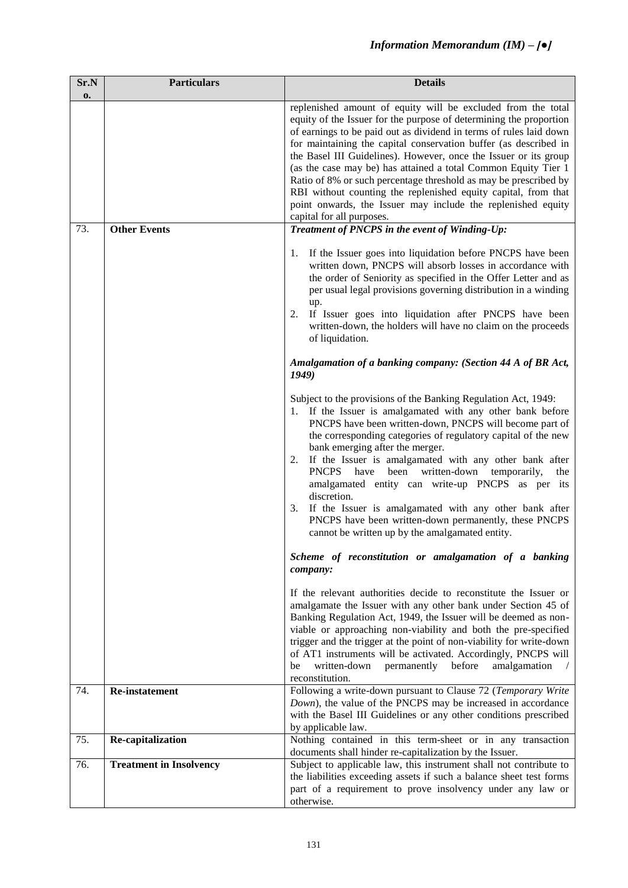| Sr.N<br>0. | <b>Particulars</b>             | <b>Details</b>                                                                                                                                                                                                                                                                                                                                                                                                                                                                                                                                                                                                                                              |
|------------|--------------------------------|-------------------------------------------------------------------------------------------------------------------------------------------------------------------------------------------------------------------------------------------------------------------------------------------------------------------------------------------------------------------------------------------------------------------------------------------------------------------------------------------------------------------------------------------------------------------------------------------------------------------------------------------------------------|
|            |                                | replenished amount of equity will be excluded from the total<br>equity of the Issuer for the purpose of determining the proportion<br>of earnings to be paid out as dividend in terms of rules laid down<br>for maintaining the capital conservation buffer (as described in<br>the Basel III Guidelines). However, once the Issuer or its group<br>(as the case may be) has attained a total Common Equity Tier 1<br>Ratio of 8% or such percentage threshold as may be prescribed by<br>RBI without counting the replenished equity capital, from that<br>point onwards, the Issuer may include the replenished equity<br>capital for all purposes.       |
| 73.        | <b>Other Events</b>            | Treatment of PNCPS in the event of Winding-Up:                                                                                                                                                                                                                                                                                                                                                                                                                                                                                                                                                                                                              |
|            |                                | If the Issuer goes into liquidation before PNCPS have been<br>1.<br>written down, PNCPS will absorb losses in accordance with<br>the order of Seniority as specified in the Offer Letter and as<br>per usual legal provisions governing distribution in a winding<br>up.<br>2. If Issuer goes into liquidation after PNCPS have been<br>written-down, the holders will have no claim on the proceeds<br>of liquidation.                                                                                                                                                                                                                                     |
|            |                                | Amalgamation of a banking company: (Section 44 A of BR Act,<br>1949)                                                                                                                                                                                                                                                                                                                                                                                                                                                                                                                                                                                        |
|            |                                | Subject to the provisions of the Banking Regulation Act, 1949:<br>1. If the Issuer is amalgamated with any other bank before<br>PNCPS have been written-down, PNCPS will become part of<br>the corresponding categories of regulatory capital of the new<br>bank emerging after the merger.<br>2. If the Issuer is amalgamated with any other bank after<br>PNCPS have been written-down temporarily,<br>the<br>amalgamated entity can write-up PNCPS as per its<br>discretion.<br>If the Issuer is amalgamated with any other bank after<br>3.<br>PNCPS have been written-down permanently, these PNCPS<br>cannot be written up by the amalgamated entity. |
|            |                                | Scheme of reconstitution or amalgamation of a banking<br>company:                                                                                                                                                                                                                                                                                                                                                                                                                                                                                                                                                                                           |
|            |                                | If the relevant authorities decide to reconstitute the Issuer or<br>amalgamate the Issuer with any other bank under Section 45 of<br>Banking Regulation Act, 1949, the Issuer will be deemed as non-<br>viable or approaching non-viability and both the pre-specified<br>trigger and the trigger at the point of non-viability for write-down<br>of AT1 instruments will be activated. Accordingly, PNCPS will<br>before<br>amalgamation<br>be<br>written-down<br>permanently<br>reconstitution.                                                                                                                                                           |
| 74.        | Re-instatement                 | Following a write-down pursuant to Clause 72 (Temporary Write<br>Down), the value of the PNCPS may be increased in accordance<br>with the Basel III Guidelines or any other conditions prescribed<br>by applicable law.                                                                                                                                                                                                                                                                                                                                                                                                                                     |
| 75.        | Re-capitalization              | Nothing contained in this term-sheet or in any transaction                                                                                                                                                                                                                                                                                                                                                                                                                                                                                                                                                                                                  |
| 76.        | <b>Treatment in Insolvency</b> | documents shall hinder re-capitalization by the Issuer.<br>Subject to applicable law, this instrument shall not contribute to                                                                                                                                                                                                                                                                                                                                                                                                                                                                                                                               |
|            |                                | the liabilities exceeding assets if such a balance sheet test forms<br>part of a requirement to prove insolvency under any law or<br>otherwise.                                                                                                                                                                                                                                                                                                                                                                                                                                                                                                             |